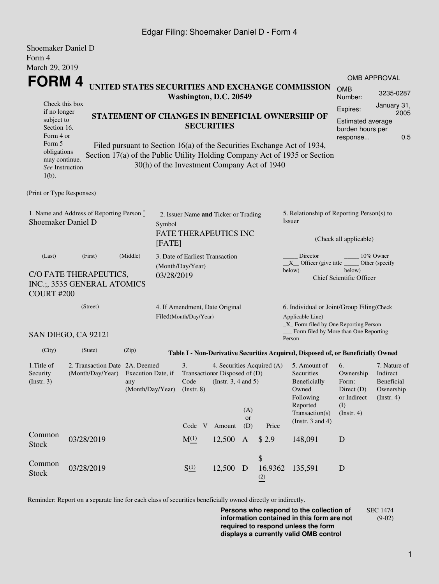## Edgar Filing: Shoemaker Daniel D - Form 4

| <b>Shoemaker Daniel D</b><br>Form 4                                                                                                        |                     |                                                                      |                          |                                                            |                                                                                                                                             |                                                                               |                                                                                                |                                                                                                                                                       |                                                                         |              |  |
|--------------------------------------------------------------------------------------------------------------------------------------------|---------------------|----------------------------------------------------------------------|--------------------------|------------------------------------------------------------|---------------------------------------------------------------------------------------------------------------------------------------------|-------------------------------------------------------------------------------|------------------------------------------------------------------------------------------------|-------------------------------------------------------------------------------------------------------------------------------------------------------|-------------------------------------------------------------------------|--------------|--|
| March 29, 2019                                                                                                                             |                     |                                                                      |                          |                                                            |                                                                                                                                             |                                                                               |                                                                                                |                                                                                                                                                       |                                                                         |              |  |
| <b>FORM4</b>                                                                                                                               |                     |                                                                      |                          |                                                            |                                                                                                                                             |                                                                               |                                                                                                |                                                                                                                                                       |                                                                         | OMB APPROVAL |  |
| UNITED STATES SECURITIES AND EXCHANGE COMMISSION<br>Washington, D.C. 20549                                                                 |                     |                                                                      |                          |                                                            |                                                                                                                                             |                                                                               |                                                                                                |                                                                                                                                                       |                                                                         | 3235-0287    |  |
| Check this box<br>if no longer                                                                                                             |                     |                                                                      |                          |                                                            |                                                                                                                                             |                                                                               | Expires:                                                                                       | January 31,<br>2005                                                                                                                                   |                                                                         |              |  |
| subject to<br>Section 16.<br>Form 4 or                                                                                                     |                     | STATEMENT OF CHANGES IN BENEFICIAL OWNERSHIP OF<br><b>SECURITIES</b> |                          |                                                            |                                                                                                                                             |                                                                               |                                                                                                |                                                                                                                                                       |                                                                         |              |  |
| Form 5<br>obligations<br>may continue.<br>See Instruction<br>$1(b)$ .                                                                      |                     |                                                                      |                          | 30(h) of the Investment Company Act of 1940                |                                                                                                                                             |                                                                               |                                                                                                | Filed pursuant to Section 16(a) of the Securities Exchange Act of 1934,<br>Section 17(a) of the Public Utility Holding Company Act of 1935 or Section |                                                                         |              |  |
| (Print or Type Responses)                                                                                                                  |                     |                                                                      |                          |                                                            |                                                                                                                                             |                                                                               |                                                                                                |                                                                                                                                                       |                                                                         |              |  |
| 1. Name and Address of Reporting Person*<br>Shoemaker Daniel D                                                                             | Symbol              | 2. Issuer Name and Ticker or Trading<br><b>FATE THERAPEUTICS INC</b> |                          |                                                            |                                                                                                                                             | 5. Relationship of Reporting Person(s) to<br>Issuer<br>(Check all applicable) |                                                                                                |                                                                                                                                                       |                                                                         |              |  |
|                                                                                                                                            | [FATE]              |                                                                      |                          |                                                            |                                                                                                                                             |                                                                               |                                                                                                |                                                                                                                                                       |                                                                         |              |  |
| (Last)<br>C/O FATE THERAPEUTICS,<br>INC.;, 3535 GENERAL ATOMICS                                                                            | 03/28/2019          | 3. Date of Earliest Transaction<br>(Month/Day/Year)                  |                          |                                                            | Director<br>10% Owner<br>$X$ Officer (give title $\overline{\phantom{a}}$<br>Other (specify<br>below)<br>below)<br>Chief Scientific Officer |                                                                               |                                                                                                |                                                                                                                                                       |                                                                         |              |  |
| COURT#200                                                                                                                                  |                     |                                                                      |                          |                                                            |                                                                                                                                             |                                                                               |                                                                                                |                                                                                                                                                       |                                                                         |              |  |
|                                                                                                                                            | (Street)            |                                                                      |                          |                                                            | 4. If Amendment, Date Original<br>Filed(Month/Day/Year)                                                                                     |                                                                               |                                                                                                | 6. Individual or Joint/Group Filing(Check<br>Applicable Line)<br>$\_X$ Form filed by One Reporting Person                                             |                                                                         |              |  |
|                                                                                                                                            | SAN DIEGO, CA 92121 |                                                                      |                          |                                                            |                                                                                                                                             |                                                                               |                                                                                                | Form filed by More than One Reporting<br>Person                                                                                                       |                                                                         |              |  |
| (City)                                                                                                                                     | (State)             | (Zip)                                                                |                          |                                                            |                                                                                                                                             |                                                                               |                                                                                                | Table I - Non-Derivative Securities Acquired, Disposed of, or Beneficially Owned                                                                      |                                                                         |              |  |
| 1. Title of<br>2. Transaction Date 2A. Deemed<br>Security<br>(Month/Day/Year) Execution Date, if<br>(Insert. 3)<br>any<br>(Month/Day/Year) |                     |                                                                      | 3.<br>Code<br>(Instr. 8) | Transaction or Disposed of (D)<br>(Instr. $3, 4$ and $5$ ) | (A)                                                                                                                                         | 4. Securities Acquired (A)                                                    | 5. Amount of<br>Securities<br>Beneficially<br>Owned<br>Following<br>Reported<br>Transaction(s) | 6.<br>Ownership<br>Form:<br>Direct (D)<br>or Indirect<br>(I)<br>$($ Instr. 4 $)$                                                                      | 7. Nature of<br>Indirect<br>Beneficial<br>Ownership<br>$($ Instr. 4 $)$ |              |  |
|                                                                                                                                            |                     |                                                                      |                          | Code V                                                     | Amount                                                                                                                                      | <b>or</b><br>(D)                                                              | Price                                                                                          | (Instr. $3$ and $4$ )                                                                                                                                 |                                                                         |              |  |
| Common<br><b>Stock</b>                                                                                                                     | 03/28/2019          |                                                                      |                          | $M_{-}^{(1)}$                                              | 12,500                                                                                                                                      | $\mathbf{A}$                                                                  | \$2.9                                                                                          | 148,091                                                                                                                                               | D                                                                       |              |  |
| Common<br><b>Stock</b>                                                                                                                     | 03/28/2019          |                                                                      |                          | S(1)                                                       | 12,500 D                                                                                                                                    |                                                                               | \$<br>16.9362<br>$\frac{(2)}{2}$                                                               | 135,591                                                                                                                                               | D                                                                       |              |  |

Reminder: Report on a separate line for each class of securities beneficially owned directly or indirectly.

**Persons who respond to the collection of information contained in this form are not required to respond unless the form displays a currently valid OMB control** SEC 1474 (9-02)